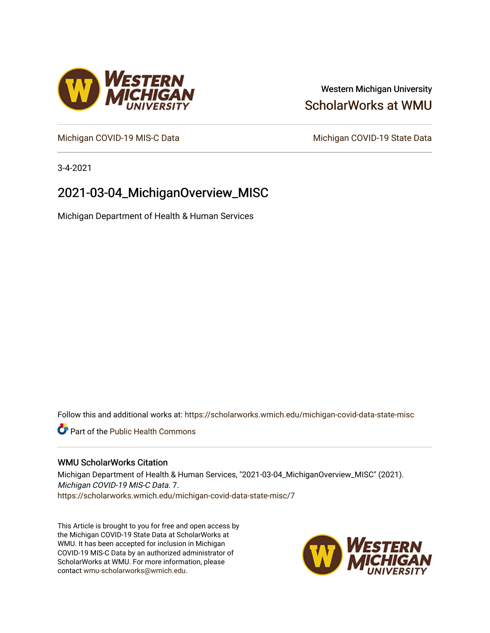# Western Michigan University [ScholarWorks at WMU](https://scholarworks.wmich.edu/)

[Michigan COVID-19 MIS-C Data](https://scholarworks.wmich.edu/michigan-covid-data-state-misc) Michigan COVID-19 State Data

3-4-2021

# 2021-03-04\_MichiganOverview\_MISC

Michigan Department of Health & Human Services

Follow this and additional works at: [https://scholarworks.wmich.edu/michigan-covid-data-state-misc](https://scholarworks.wmich.edu/michigan-covid-data-state-misc?utm_source=scholarworks.wmich.edu%2Fmichigan-covid-data-state-misc%2F7&utm_medium=PDF&utm_campaign=PDFCoverPages) 

**Part of the Public Health Commons** 

## WMU ScholarWorks Citation

Michigan Department of Health & Human Services, "2021-03-04\_MichiganOverview\_MISC" (2021). Michigan COVID-19 MIS-C Data. 7. [https://scholarworks.wmich.edu/michigan-covid-data-state-misc/7](https://scholarworks.wmich.edu/michigan-covid-data-state-misc/7?utm_source=scholarworks.wmich.edu%2Fmichigan-covid-data-state-misc%2F7&utm_medium=PDF&utm_campaign=PDFCoverPages) 

This Article is brought to you for free and open access by the Michigan COVID-19 State Data at ScholarWorks at WMU. It has been accepted for inclusion in Michigan COVID-19 MIS-C Data by an authorized administrator of ScholarWorks at WMU. For more information, please contact [wmu-scholarworks@wmich.edu](mailto:wmu-scholarworks@wmich.edu).



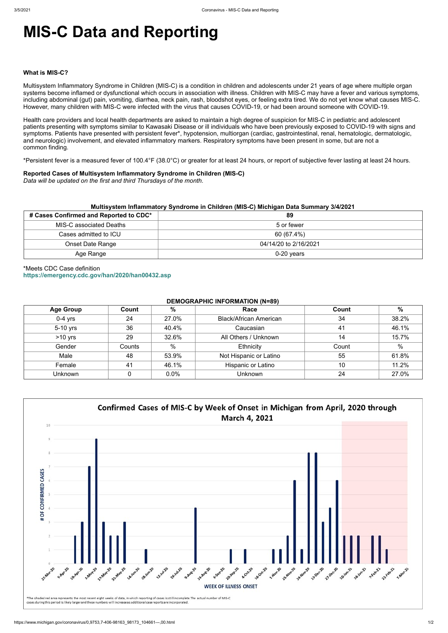# **MIS-C Data and Reporting**

#### **What is MIS-C?**

Multisystem Inflammatory Syndrome in Children (MIS-C) is a condition in children and adolescents under 21 years of age where multiple organ systems become inflamed or dysfunctional which occurs in association with illness. Children with MIS-C may have a fever and various symptoms, including abdominal (gut) pain, vomiting, diarrhea, neck pain, rash, bloodshot eyes, or feeling extra tired. We do not yet know what causes MIS-C. However, many children with MIS-C were infected with the virus that causes COVID-19, or had been around someone with COVID-19.

Health care providers and local health departments are asked to maintain a high degree of suspicion for MIS-C in pediatric and adolescent patients presenting with symptoms similar to Kawasaki Disease or ill individuals who have been previously exposed to COVID-19 with signs and symptoms. Patients have presented with persistent fever\*, hypotension, multiorgan (cardiac, gastrointestinal, renal, hematologic, dermatologic, and neurologic) involvement, and elevated inflammatory markers. Respiratory symptoms have been present in some, but are not a common finding.

\*Persistent fever is a measured fever of 100.4°F (38.0°C) or greater for at least 24 hours, or report of subjective fever lasting at least 24 hours.

## **Reported Cases of Multisystem Inflammatory Syndrome in Children (MIS-C)**

*Data will be updated on the first and third Thursdays of the month.*

| Multisystem Inflammatory Syndrome in Children (MIS-C) Michigan Data Summary 3/4/2021 |                       |  |  |  |
|--------------------------------------------------------------------------------------|-----------------------|--|--|--|
| # Cases Confirmed and Reported to CDC*                                               | 89                    |  |  |  |
| <b>MIS-C associated Deaths</b>                                                       | 5 or fewer            |  |  |  |
| Cases admitted to ICU                                                                | 60 (67.4%)            |  |  |  |
| Onset Date Range                                                                     | 04/14/20 to 2/16/2021 |  |  |  |
| Age Range                                                                            | $0-20$ years          |  |  |  |

# \*Meets CDC Case definition **<https://emergency.cdc.gov/han/2020/han00432.asp>**

#### **DEMOGRAPHIC INFORMATION (N=89)**

| <b>Age Group</b> | Count  | %             | Race                          | Count | $\%$  |
|------------------|--------|---------------|-------------------------------|-------|-------|
| $0-4$ yrs        | 24     | 27.0%         | <b>Black/African American</b> | 34    | 38.2% |
| 5-10 yrs         | 36     | 40.4%         | Caucasian                     | 41    | 46.1% |
| $>10$ yrs        | 29     | 32.6%         | All Others / Unknown          | 14    | 15.7% |
| Gender           | Counts | $\frac{0}{0}$ | Ethnicity                     | Count | %     |
| Male             | 48     | 53.9%         | Not Hispanic or Latino        | 55    | 61.8% |
| Female           | 41     | 46.1%         | <b>Hispanic or Latino</b>     | 10    | 11.2% |
| Unknown          |        | 0.0%          | <b>Unknown</b>                | 24    | 27.0% |